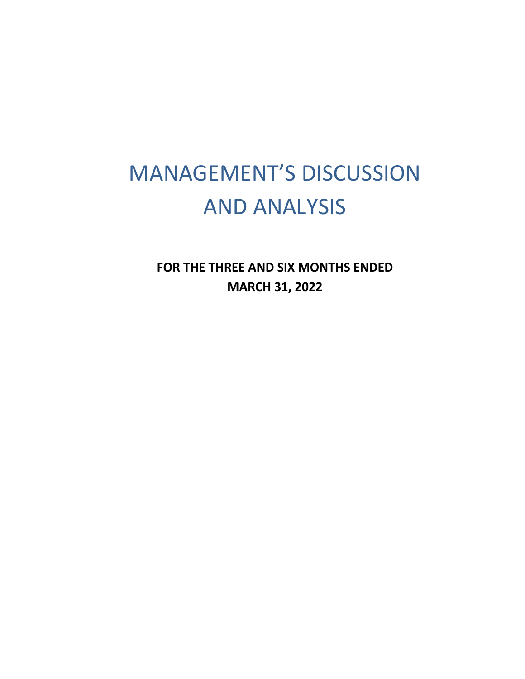# MANAGEMENT'S DISCUSSION AND ANALYSIS

**FOR THE THREE AND SIX MONTHS ENDED MARCH 31, 2022**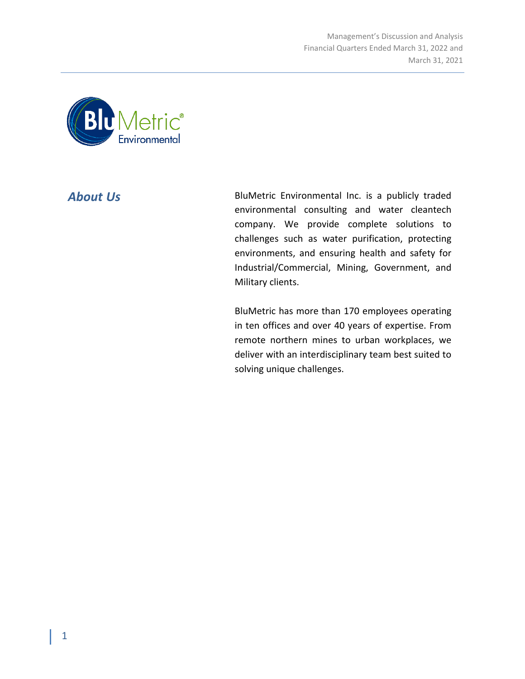

**About Us** BluMetric Environmental Inc. is a publicly traded environmental consulting and water cleantech company. We provide complete solutions to challenges such as water purification, protecting environments, and ensuring health and safety for Industrial/Commercial, Mining, Government, and Military clients.

> BluMetric has more than 170 employees operating in ten offices and over 40 years of expertise. From remote northern mines to urban workplaces, we deliver with an interdisciplinary team best suited to solving unique challenges.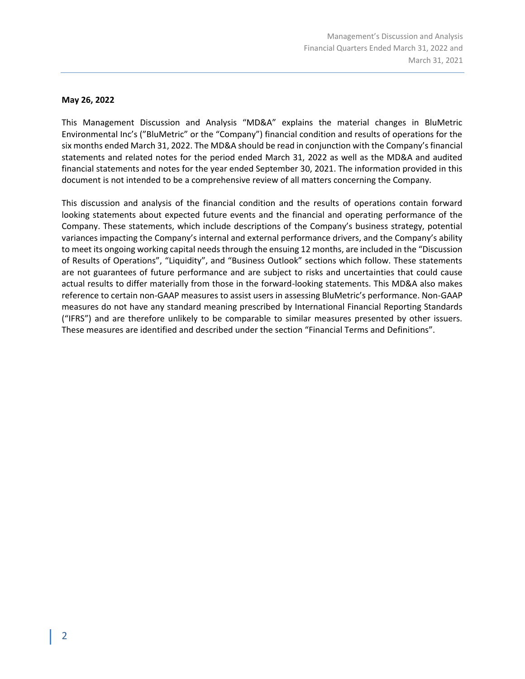# **May 26, 2022**

This Management Discussion and Analysis "MD&A" explains the material changes in BluMetric Environmental Inc's ("BluMetric" or the "Company") financial condition and results of operations for the six months ended March 31, 2022. The MD&A should be read in conjunction with the Company's financial statements and related notes for the period ended March 31, 2022 as well as the MD&A and audited financial statements and notes for the year ended September 30, 2021. The information provided in this document is not intended to be a comprehensive review of all matters concerning the Company.

This discussion and analysis of the financial condition and the results of operations contain forward looking statements about expected future events and the financial and operating performance of the Company. These statements, which include descriptions of the Company's business strategy, potential variances impacting the Company's internal and external performance drivers, and the Company's ability to meet its ongoing working capital needs through the ensuing 12 months, are included in the "Discussion of Results of Operations", "Liquidity", and "Business Outlook" sections which follow. These statements are not guarantees of future performance and are subject to risks and uncertainties that could cause actual results to differ materially from those in the forward-looking statements. This MD&A also makes reference to certain non-GAAP measures to assist users in assessing BluMetric's performance. Non-GAAP measures do not have any standard meaning prescribed by International Financial Reporting Standards ("IFRS") and are therefore unlikely to be comparable to similar measures presented by other issuers. These measures are identified and described under the section "Financial Terms and Definitions".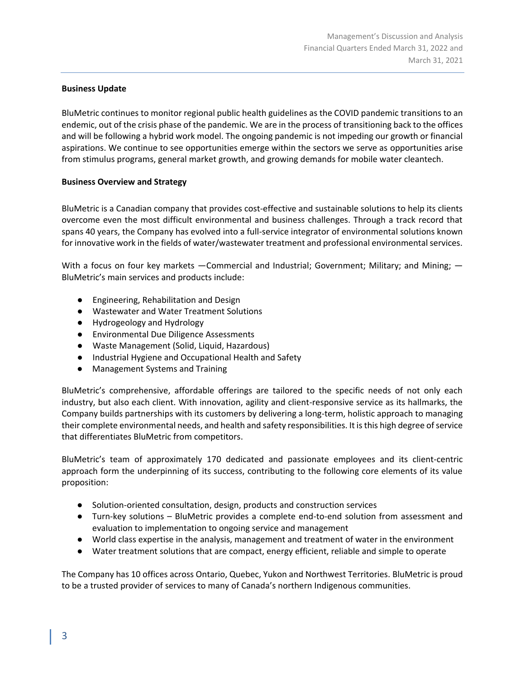# **Business Update**

BluMetric continues to monitor regional public health guidelines as the COVID pandemic transitions to an endemic, out of the crisis phase of the pandemic. We are in the process of transitioning back to the offices and will be following a hybrid work model. The ongoing pandemic is not impeding our growth or financial aspirations. We continue to see opportunities emerge within the sectors we serve as opportunities arise from stimulus programs, general market growth, and growing demands for mobile water cleantech.

# **Business Overview and Strategy**

BluMetric is a Canadian company that provides cost-effective and sustainable solutions to help its clients overcome even the most difficult environmental and business challenges. Through a track record that spans 40 years, the Company has evolved into a full-service integrator of environmental solutions known for innovative work in the fields of water/wastewater treatment and professional environmental services.

With a focus on four key markets —Commercial and Industrial; Government; Military; and Mining; — BluMetric's main services and products include:

- Engineering, Rehabilitation and Design
- Wastewater and Water Treatment Solutions
- Hydrogeology and Hydrology
- Environmental Due Diligence Assessments
- Waste Management (Solid, Liquid, Hazardous)
- Industrial Hygiene and Occupational Health and Safety
- Management Systems and Training

BluMetric's comprehensive, affordable offerings are tailored to the specific needs of not only each industry, but also each client. With innovation, agility and client-responsive service as its hallmarks, the Company builds partnerships with its customers by delivering a long-term, holistic approach to managing their complete environmental needs, and health and safety responsibilities. It is this high degree of service that differentiates BluMetric from competitors.

BluMetric's team of approximately 170 dedicated and passionate employees and its client-centric approach form the underpinning of its success, contributing to the following core elements of its value proposition:

- Solution-oriented consultation, design, products and construction services
- Turn-key solutions BluMetric provides a complete end-to-end solution from assessment and evaluation to implementation to ongoing service and management
- World class expertise in the analysis, management and treatment of water in the environment
- Water treatment solutions that are compact, energy efficient, reliable and simple to operate

The Company has 10 offices across Ontario, Quebec, Yukon and Northwest Territories. BluMetric is proud to be a trusted provider of services to many of Canada's northern Indigenous communities.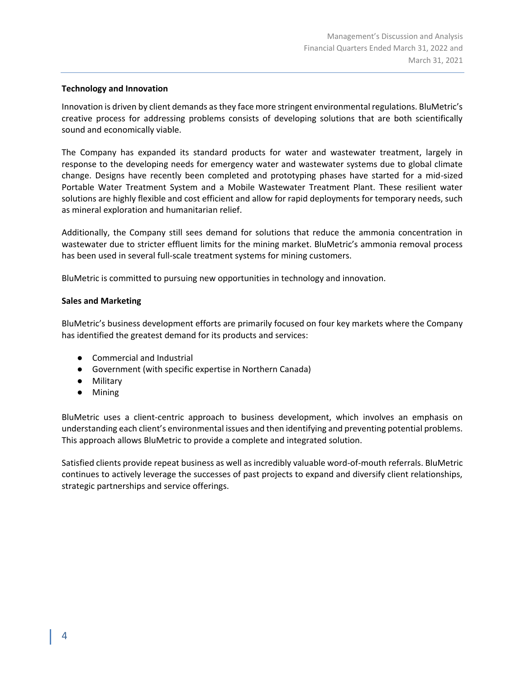# **Technology and Innovation**

Innovation is driven by client demands as they face more stringent environmental regulations. BluMetric's creative process for addressing problems consists of developing solutions that are both scientifically sound and economically viable.

The Company has expanded its standard products for water and wastewater treatment, largely in response to the developing needs for emergency water and wastewater systems due to global climate change. Designs have recently been completed and prototyping phases have started for a mid-sized Portable Water Treatment System and a Mobile Wastewater Treatment Plant. These resilient water solutions are highly flexible and cost efficient and allow for rapid deployments for temporary needs, such as mineral exploration and humanitarian relief.

Additionally, the Company still sees demand for solutions that reduce the ammonia concentration in wastewater due to stricter effluent limits for the mining market. BluMetric's ammonia removal process has been used in several full-scale treatment systems for mining customers.

BluMetric is committed to pursuing new opportunities in technology and innovation.

# **Sales and Marketing**

BluMetric's business development efforts are primarily focused on four key markets where the Company has identified the greatest demand for its products and services:

- Commercial and Industrial
- Government (with specific expertise in Northern Canada)
- Military
- Mining

BluMetric uses a client-centric approach to business development, which involves an emphasis on understanding each client's environmental issues and then identifying and preventing potential problems. This approach allows BluMetric to provide a complete and integrated solution.

Satisfied clients provide repeat business as well as incredibly valuable word-of-mouth referrals. BluMetric continues to actively leverage the successes of past projects to expand and diversify client relationships, strategic partnerships and service offerings.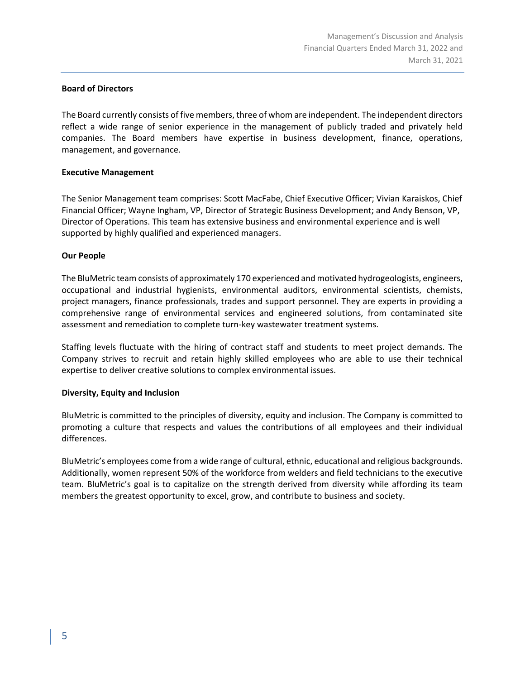#### **Board of Directors**

The Board currently consists of five members, three of whom are independent. The independent directors reflect a wide range of senior experience in the management of publicly traded and privately held companies. The Board members have expertise in business development, finance, operations, management, and governance.

# **Executive Management**

The Senior Management team comprises: Scott MacFabe, Chief Executive Officer; Vivian Karaiskos, Chief Financial Officer; Wayne Ingham, VP, Director of Strategic Business Development; and Andy Benson, VP, Director of Operations. This team has extensive business and environmental experience and is well supported by highly qualified and experienced managers.

# **Our People**

The BluMetric team consists of approximately 170 experienced and motivated hydrogeologists, engineers, occupational and industrial hygienists, environmental auditors, environmental scientists, chemists, project managers, finance professionals, trades and support personnel. They are experts in providing a comprehensive range of environmental services and engineered solutions, from contaminated site assessment and remediation to complete turn-key wastewater treatment systems.

Staffing levels fluctuate with the hiring of contract staff and students to meet project demands. The Company strives to recruit and retain highly skilled employees who are able to use their technical expertise to deliver creative solutions to complex environmental issues.

# **Diversity, Equity and Inclusion**

BluMetric is committed to the principles of diversity, equity and inclusion. The Company is committed to promoting a culture that respects and values the contributions of all employees and their individual differences.

BluMetric's employees come from a wide range of cultural, ethnic, educational and religious backgrounds. Additionally, women represent 50% of the workforce from welders and field technicians to the executive team. BluMetric's goal is to capitalize on the strength derived from diversity while affording its team members the greatest opportunity to excel, grow, and contribute to business and society.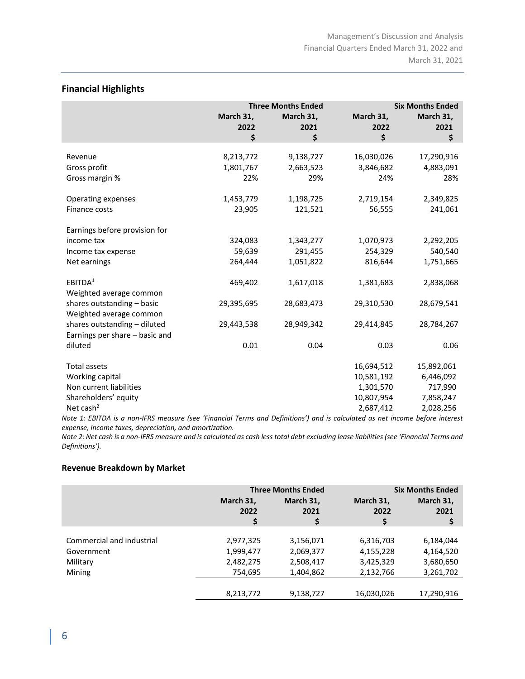# **Financial Highlights**

|                                                                | <b>Three Months Ended</b>     |                               | <b>Six Months Ended</b>        |                                |
|----------------------------------------------------------------|-------------------------------|-------------------------------|--------------------------------|--------------------------------|
|                                                                | March 31,<br>2022<br>\$       | March 31,<br>2021<br>\$       | March 31,<br>2022<br>\$        | March 31,<br>2021<br>\$        |
|                                                                |                               |                               |                                |                                |
| Revenue<br>Gross profit<br>Gross margin %                      | 8,213,772<br>1,801,767<br>22% | 9,138,727<br>2,663,523<br>29% | 16,030,026<br>3,846,682<br>24% | 17,290,916<br>4,883,091<br>28% |
| <b>Operating expenses</b>                                      | 1,453,779                     | 1,198,725                     | 2,719,154                      | 2,349,825                      |
| Finance costs                                                  | 23,905                        | 121,521                       | 56,555                         | 241,061                        |
| Earnings before provision for                                  |                               |                               |                                |                                |
| income tax                                                     | 324,083                       | 1,343,277                     | 1,070,973                      | 2,292,205                      |
| Income tax expense                                             | 59,639                        | 291,455                       | 254,329                        | 540,540                        |
| Net earnings                                                   | 264,444                       | 1,051,822                     | 816,644                        | 1,751,665                      |
| EBITDA <sup>1</sup><br>Weighted average common                 | 469,402                       | 1,617,018                     | 1,381,683                      | 2,838,068                      |
| shares outstanding - basic<br>Weighted average common          | 29,395,695                    | 28,683,473                    | 29,310,530                     | 28,679,541                     |
| shares outstanding - diluted<br>Earnings per share - basic and | 29,443,538                    | 28,949,342                    | 29,414,845                     | 28,784,267                     |
| diluted                                                        | 0.01                          | 0.04                          | 0.03                           | 0.06                           |
| <b>Total assets</b>                                            |                               |                               |                                |                                |
| Working capital                                                |                               |                               | 16,694,512<br>10,581,192       | 15,892,061<br>6,446,092        |
| Non current liabilities                                        |                               |                               | 1,301,570                      | 717,990                        |
| Shareholders' equity                                           |                               |                               | 10,807,954                     | 7,858,247                      |
| Net cash <sup>2</sup>                                          |                               |                               | 2,687,412                      | 2,028,256                      |
|                                                                |                               |                               |                                |                                |

*Note 1: EBITDA is a non-IFRS measure (see 'Financial Terms and Definitions') and is calculated as net income before interest expense, income taxes, depreciation, and amortization.*

*Note 2: Net cash is a non-IFRS measure and is calculated as cash less total debt excluding lease liabilities (see 'Financial Terms and Definitions').*

# **Revenue Breakdown by Market**

|                           | <b>Three Months Ended</b> |                         | <b>Six Months Ended</b> |                         |
|---------------------------|---------------------------|-------------------------|-------------------------|-------------------------|
|                           | March 31,<br>2022<br>\$   | March 31,<br>2021<br>\$ | March 31,<br>2022<br>\$ | March 31,<br>2021<br>\$ |
|                           |                           |                         |                         |                         |
| Commercial and industrial | 2,977,325                 | 3,156,071               | 6,316,703               | 6,184,044               |
| Government                | 1,999,477                 | 2,069,377               | 4,155,228               | 4,164,520               |
| Military                  | 2,482,275                 | 2,508,417               | 3,425,329               | 3,680,650               |
| Mining                    | 754,695                   | 1,404,862               | 2,132,766               | 3,261,702               |
|                           |                           |                         |                         |                         |
|                           | 8,213,772                 | 9,138,727               | 16,030,026              | 17,290,916              |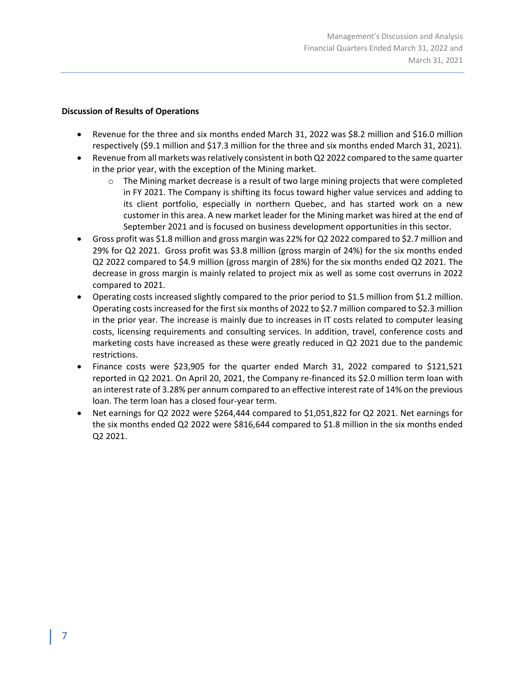# **Discussion of Results of Operations**

- Revenue for the three and six months ended March 31, 2022 was \$8.2 million and \$16.0 million respectively (\$9.1 million and \$17.3 million for the three and six months ended March 31, 2021).
- Revenue from all markets was relatively consistent in both Q2 2022 compared to the same quarter in the prior year, with the exception of the Mining market.
	- o The Mining market decrease is a result of two large mining projects that were completed in FY 2021. The Company is shifting its focus toward higher value services and adding to its client portfolio, especially in northern Quebec, and has started work on a new customer in this area. A new market leader for the Mining market was hired at the end of September 2021 and is focused on business development opportunities in this sector.
- Gross profit was \$1.8 million and gross margin was 22% for Q2 2022 compared to \$2.7 million and 29% for Q2 2021. Gross profit was \$3.8 million (gross margin of 24%) for the six months ended Q2 2022 compared to \$4.9 million (gross margin of 28%) for the six months ended Q2 2021. The decrease in gross margin is mainly related to project mix as well as some cost overruns in 2022 compared to 2021.
- Operating costs increased slightly compared to the prior period to \$1.5 million from \$1.2 million. Operating costs increased for the first six months of 2022 to \$2.7 million compared to \$2.3 million in the prior year. The increase is mainly due to increases in IT costs related to computer leasing costs, licensing requirements and consulting services. In addition, travel, conference costs and marketing costs have increased as these were greatly reduced in Q2 2021 due to the pandemic restrictions.
- Finance costs were \$23,905 for the quarter ended March 31, 2022 compared to \$121,521 reported in Q2 2021. On April 20, 2021, the Company re-financed its \$2.0 million term loan with an interest rate of 3.28% per annum compared to an effective interest rate of 14% on the previous loan. The term loan has a closed four-year term.
- Net earnings for Q2 2022 were \$264,444 compared to \$1,051,822 for Q2 2021. Net earnings for the six months ended Q2 2022 were \$816,644 compared to \$1.8 million in the six months ended Q2 2021.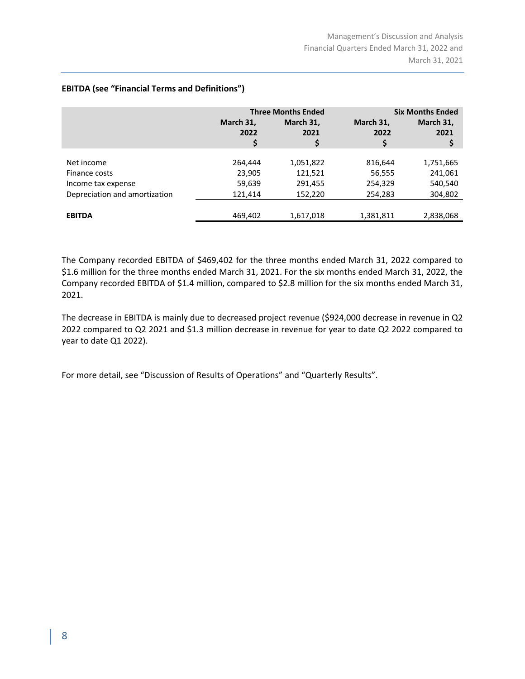|                               | <b>Three Months Ended</b> |                         |                         | <b>Six Months Ended</b> |  |
|-------------------------------|---------------------------|-------------------------|-------------------------|-------------------------|--|
|                               | March 31,<br>2022<br>\$   | March 31,<br>2021<br>\$ | March 31,<br>2022<br>\$ | March 31,<br>2021<br>\$ |  |
|                               |                           |                         |                         |                         |  |
| Net income                    | 264,444                   | 1,051,822               | 816,644                 | 1,751,665               |  |
| Finance costs                 | 23,905                    | 121,521                 | 56,555                  | 241,061                 |  |
| Income tax expense            | 59,639                    | 291,455                 | 254,329                 | 540,540                 |  |
| Depreciation and amortization | 121,414                   | 152,220                 | 254,283                 | 304,802                 |  |
|                               |                           |                         |                         |                         |  |
| <b>EBITDA</b>                 | 469,402                   | 1,617,018               | 1,381,811               | 2,838,068               |  |

# **EBITDA (see "Financial Terms and Definitions")**

The Company recorded EBITDA of \$469,402 for the three months ended March 31, 2022 compared to \$1.6 million for the three months ended March 31, 2021. For the six months ended March 31, 2022, the Company recorded EBITDA of \$1.4 million, compared to \$2.8 million for the six months ended March 31, 2021.

The decrease in EBITDA is mainly due to decreased project revenue (\$924,000 decrease in revenue in Q2 2022 compared to Q2 2021 and \$1.3 million decrease in revenue for year to date Q2 2022 compared to year to date Q1 2022).

For more detail, see "Discussion of Results of Operations" and "Quarterly Results".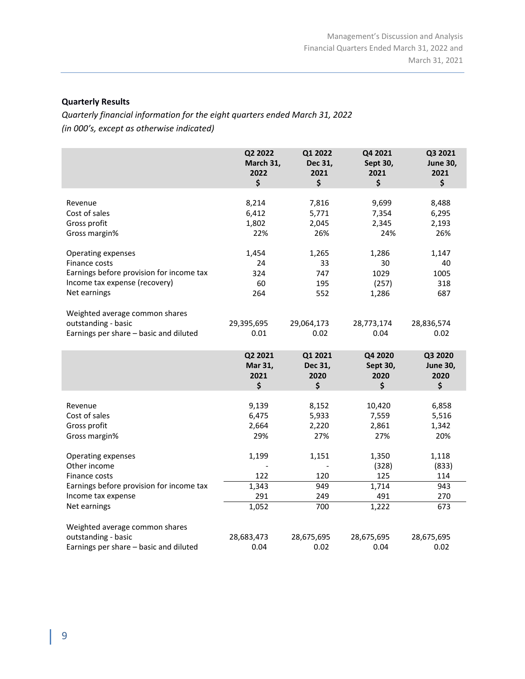# **Quarterly Results**

*Quarterly financial information for the eight quarters ended March 31, 2022 (in 000's, except as otherwise indicated)*

|                                          | Q2 2022<br>March 31,<br>2022<br>\$ | Q1 2022<br>Dec 31,<br>2021<br>\$ | Q4 2021<br>Sept 30,<br>2021<br>\$ | Q3 2021<br><b>June 30,</b><br>2021<br>\$ |
|------------------------------------------|------------------------------------|----------------------------------|-----------------------------------|------------------------------------------|
| Revenue                                  | 8,214                              | 7,816                            | 9,699                             | 8,488                                    |
| Cost of sales                            | 6,412                              | 5,771                            | 7,354                             | 6,295                                    |
| Gross profit                             | 1,802                              | 2,045                            | 2,345                             | 2,193                                    |
| Gross margin%                            | 22%                                | 26%                              | 24%                               | 26%                                      |
| Operating expenses                       | 1,454                              | 1,265                            | 1,286                             | 1,147                                    |
| Finance costs                            | 24                                 | 33                               | 30                                | 40                                       |
| Earnings before provision for income tax | 324                                | 747                              | 1029                              | 1005                                     |
| Income tax expense (recovery)            | 60                                 | 195                              | (257)                             | 318                                      |
| Net earnings                             | 264                                | 552                              | 1,286                             | 687                                      |
| Weighted average common shares           |                                    |                                  |                                   |                                          |
| outstanding - basic                      | 29,395,695                         | 29,064,173                       | 28,773,174                        | 28,836,574                               |
| Earnings per share - basic and diluted   | 0.01                               | 0.02                             | 0.04                              | 0.02                                     |
|                                          | Q2 2021<br>Mar 31,<br>2021<br>\$   | Q1 2021<br>Dec 31,<br>2020<br>\$ | Q4 2020<br>Sept 30,<br>2020<br>\$ | Q3 2020<br><b>June 30,</b><br>2020<br>\$ |
|                                          |                                    |                                  |                                   |                                          |
| Revenue                                  | 9,139                              | 8,152                            | 10,420                            | 6,858                                    |
| Cost of sales                            | 6,475                              | 5,933                            | 7,559                             | 5,516                                    |
| Gross profit                             | 2,664                              | 2,220                            | 2,861                             | 1,342                                    |
| Gross margin%                            | 29%                                | 27%                              | 27%                               | 20%                                      |
| Operating expenses                       | 1,199                              | 1,151                            | 1,350                             | 1,118                                    |
| Other income                             |                                    |                                  | (328)                             | (833)                                    |
| Finance costs                            | 122                                | 120                              | 125                               | 114                                      |
| Earnings before provision for income tax | 1,343                              | 949                              | 1,714                             | 943                                      |
| Income tax expense                       | 291                                | 249                              | 491                               | 270                                      |
| Net earnings                             | 1,052                              | 700                              | 1,222                             | 673                                      |
| Weighted average common shares           |                                    |                                  |                                   |                                          |
| outstanding - basic                      | 28,683,473                         | 28,675,695                       | 28,675,695                        | 28,675,695                               |
| Earnings per share - basic and diluted   | 0.04                               | 0.02                             | 0.04                              | 0.02                                     |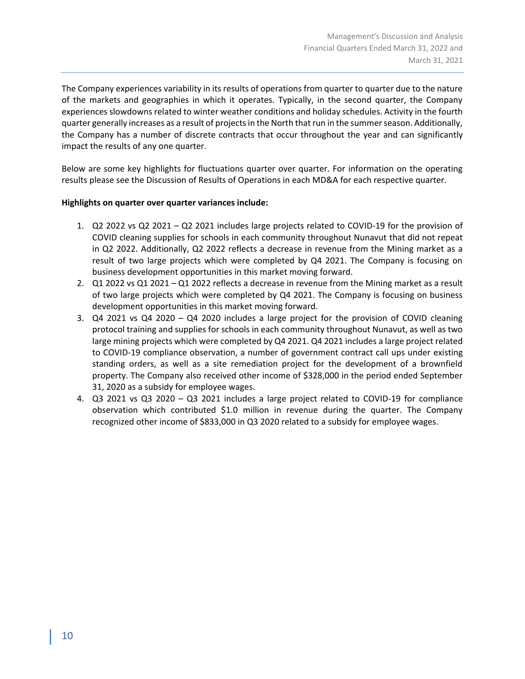The Company experiences variability in its results of operations from quarter to quarter due to the nature of the markets and geographies in which it operates. Typically, in the second quarter, the Company experiences slowdowns related to winter weather conditions and holiday schedules. Activity in the fourth quarter generally increases as a result of projects in the North that run in the summer season. Additionally, the Company has a number of discrete contracts that occur throughout the year and can significantly impact the results of any one quarter.

Below are some key highlights for fluctuations quarter over quarter. For information on the operating results please see the Discussion of Results of Operations in each MD&A for each respective quarter.

# **Highlights on quarter over quarter variances include:**

- 1. Q2 2022 vs Q2 2021 Q2 2021 includes large projects related to COVID-19 for the provision of COVID cleaning supplies for schools in each community throughout Nunavut that did not repeat in Q2 2022. Additionally, Q2 2022 reflects a decrease in revenue from the Mining market as a result of two large projects which were completed by Q4 2021. The Company is focusing on business development opportunities in this market moving forward.
- 2. Q1 2022 vs Q1 2021 Q1 2022 reflects a decrease in revenue from the Mining market as a result of two large projects which were completed by Q4 2021. The Company is focusing on business development opportunities in this market moving forward.
- 3. Q4 2021 vs Q4 2020 Q4 2020 includes a large project for the provision of COVID cleaning protocol training and supplies for schools in each community throughout Nunavut, as well as two large mining projects which were completed by Q4 2021. Q4 2021 includes a large project related to COVID-19 compliance observation, a number of government contract call ups under existing standing orders, as well as a site remediation project for the development of a brownfield property. The Company also received other income of \$328,000 in the period ended September 31, 2020 as a subsidy for employee wages.
- 4. Q3 2021 vs Q3 2020 Q3 2021 includes a large project related to COVID-19 for compliance observation which contributed \$1.0 million in revenue during the quarter. The Company recognized other income of \$833,000 in Q3 2020 related to a subsidy for employee wages.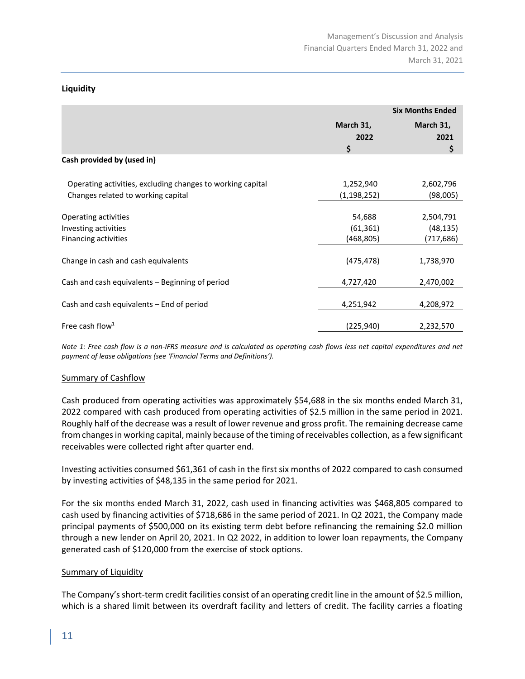# **Liquidity**

|                                                            | <b>Six Months Ended</b> |           |
|------------------------------------------------------------|-------------------------|-----------|
|                                                            | March 31,<br>March 31,  |           |
|                                                            | 2022                    | 2021      |
|                                                            | \$                      | \$        |
| Cash provided by (used in)                                 |                         |           |
| Operating activities, excluding changes to working capital | 1,252,940               | 2,602,796 |
| Changes related to working capital                         | (1, 198, 252)           | (98,005)  |
| Operating activities                                       | 54,688                  | 2,504,791 |
| Investing activities                                       | (61, 361)               | (48, 135) |
| Financing activities                                       | (468,805)               | (717,686) |
| Change in cash and cash equivalents                        | (475, 478)              | 1,738,970 |
| Cash and cash equivalents – Beginning of period            | 4,727,420               | 2,470,002 |
| Cash and cash equivalents - End of period                  | 4,251,942               | 4,208,972 |
| Free cash flow <sup>1</sup>                                | (225, 940)              | 2,232,570 |

*Note 1: Free cash flow is a non-IFRS measure and is calculated as operating cash flows less net capital expenditures and net payment of lease obligations (see 'Financial Terms and Definitions').*

# Summary of Cashflow

Cash produced from operating activities was approximately \$54,688 in the six months ended March 31, 2022 compared with cash produced from operating activities of \$2.5 million in the same period in 2021. Roughly half of the decrease was a result of lower revenue and gross profit. The remaining decrease came from changes in working capital, mainly because of the timing of receivables collection, as a few significant receivables were collected right after quarter end.

Investing activities consumed \$61,361 of cash in the first six months of 2022 compared to cash consumed by investing activities of \$48,135 in the same period for 2021.

For the six months ended March 31, 2022, cash used in financing activities was \$468,805 compared to cash used by financing activities of \$718,686 in the same period of 2021. In Q2 2021, the Company made principal payments of \$500,000 on its existing term debt before refinancing the remaining \$2.0 million through a new lender on April 20, 2021. In Q2 2022, in addition to lower loan repayments, the Company generated cash of \$120,000 from the exercise of stock options.

# Summary of Liquidity

The Company's short-term credit facilities consist of an operating credit line in the amount of \$2.5 million, which is a shared limit between its overdraft facility and letters of credit. The facility carries a floating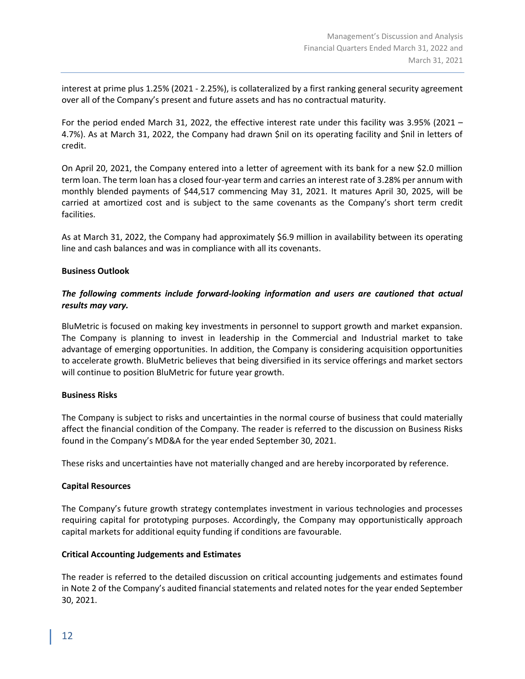interest at prime plus 1.25% (2021 - 2.25%), is collateralized by a first ranking general security agreement over all of the Company's present and future assets and has no contractual maturity.

For the period ended March 31, 2022, the effective interest rate under this facility was 3.95% (2021 – 4.7%). As at March 31, 2022, the Company had drawn \$nil on its operating facility and \$nil in letters of credit.

On April 20, 2021, the Company entered into a letter of agreement with its bank for a new \$2.0 million term loan. The term loan has a closed four-year term and carries an interest rate of 3.28% per annum with monthly blended payments of \$44,517 commencing May 31, 2021. It matures April 30, 2025, will be carried at amortized cost and is subject to the same covenants as the Company's short term credit facilities.

As at March 31, 2022, the Company had approximately \$6.9 million in availability between its operating line and cash balances and was in compliance with all its covenants.

# **Business Outlook**

# *The following comments include forward-looking information and users are cautioned that actual results may vary.*

BluMetric is focused on making key investments in personnel to support growth and market expansion. The Company is planning to invest in leadership in the Commercial and Industrial market to take advantage of emerging opportunities. In addition, the Company is considering acquisition opportunities to accelerate growth. BluMetric believes that being diversified in its service offerings and market sectors will continue to position BluMetric for future year growth.

#### **Business Risks**

The Company is subject to risks and uncertainties in the normal course of business that could materially affect the financial condition of the Company. The reader is referred to the discussion on Business Risks found in the Company's MD&A for the year ended September 30, 2021.

These risks and uncertainties have not materially changed and are hereby incorporated by reference.

#### **Capital Resources**

The Company's future growth strategy contemplates investment in various technologies and processes requiring capital for prototyping purposes. Accordingly, the Company may opportunistically approach capital markets for additional equity funding if conditions are favourable.

# **Critical Accounting Judgements and Estimates**

The reader is referred to the detailed discussion on critical accounting judgements and estimates found in Note 2 of the Company's audited financial statements and related notes for the year ended September 30, 2021.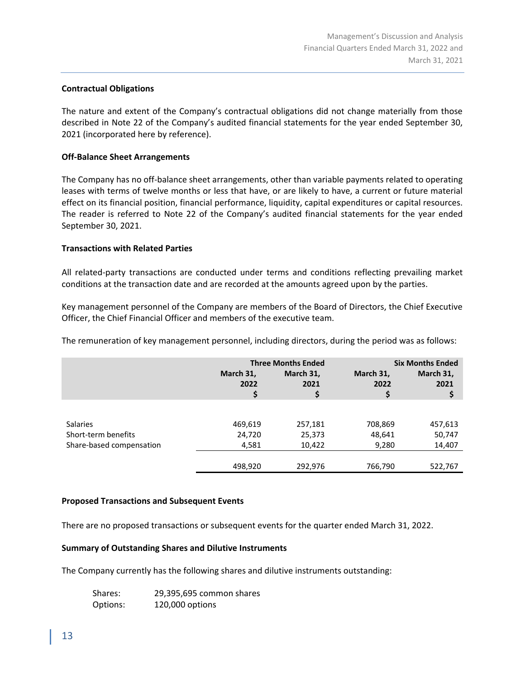# **Contractual Obligations**

The nature and extent of the Company's contractual obligations did not change materially from those described in Note 22 of the Company's audited financial statements for the year ended September 30, 2021 (incorporated here by reference).

# **Off-Balance Sheet Arrangements**

The Company has no off-balance sheet arrangements, other than variable payments related to operating leases with terms of twelve months or less that have, or are likely to have, a current or future material effect on its financial position, financial performance, liquidity, capital expenditures or capital resources. The reader is referred to Note 22 of the Company's audited financial statements for the year ended September 30, 2021.

# **Transactions with Related Parties**

All related-party transactions are conducted under terms and conditions reflecting prevailing market conditions at the transaction date and are recorded at the amounts agreed upon by the parties.

Key management personnel of the Company are members of the Board of Directors, the Chief Executive Officer, the Chief Financial Officer and members of the executive team.

The remuneration of key management personnel, including directors, during the period was as follows:

|                          | <b>Three Months Ended</b> |                         | <b>Six Months Ended</b> |                         |
|--------------------------|---------------------------|-------------------------|-------------------------|-------------------------|
|                          | March 31,<br>2022<br>\$   | March 31,<br>2021<br>\$ | March 31,<br>2022<br>\$ | March 31,<br>2021<br>\$ |
|                          |                           |                         |                         |                         |
| <b>Salaries</b>          | 469,619                   | 257,181                 | 708,869                 | 457,613                 |
| Short-term benefits      | 24,720                    | 25,373                  | 48,641                  | 50,747                  |
| Share-based compensation | 4,581                     | 10,422                  | 9,280                   | 14,407                  |
|                          |                           |                         |                         |                         |
|                          | 498,920                   | 292,976                 | 766,790                 | 522,767                 |

# **Proposed Transactions and Subsequent Events**

There are no proposed transactions or subsequent events for the quarter ended March 31, 2022.

#### **Summary of Outstanding Shares and Dilutive Instruments**

The Company currently has the following shares and dilutive instruments outstanding:

| Shares:  | 29,395,695 common shares |
|----------|--------------------------|
| Options: | 120,000 options          |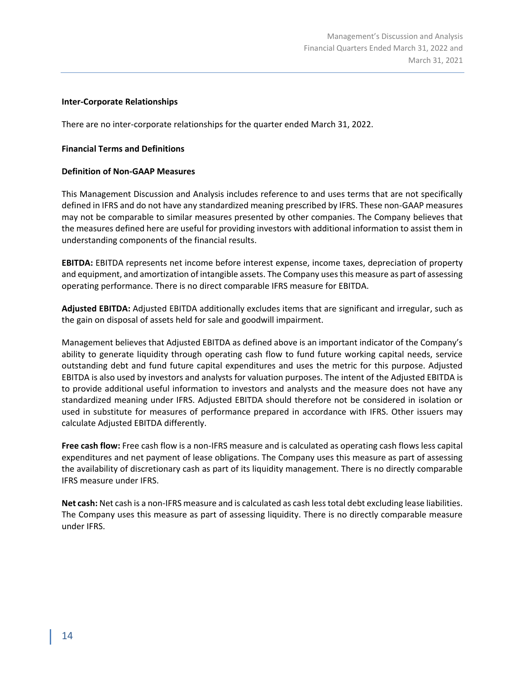# **Inter-Corporate Relationships**

There are no inter-corporate relationships for the quarter ended March 31, 2022.

# **Financial Terms and Definitions**

# **Definition of Non-GAAP Measures**

This Management Discussion and Analysis includes reference to and uses terms that are not specifically defined in IFRS and do not have any standardized meaning prescribed by IFRS. These non-GAAP measures may not be comparable to similar measures presented by other companies. The Company believes that the measures defined here are useful for providing investors with additional information to assist them in understanding components of the financial results.

**EBITDA:** EBITDA represents net income before interest expense, income taxes, depreciation of property and equipment, and amortization of intangible assets. The Company uses this measure as part of assessing operating performance. There is no direct comparable IFRS measure for EBITDA.

**Adjusted EBITDA:** Adjusted EBITDA additionally excludes items that are significant and irregular, such as the gain on disposal of assets held for sale and goodwill impairment.

Management believes that Adjusted EBITDA as defined above is an important indicator of the Company's ability to generate liquidity through operating cash flow to fund future working capital needs, service outstanding debt and fund future capital expenditures and uses the metric for this purpose. Adjusted EBITDA is also used by investors and analysts for valuation purposes. The intent of the Adjusted EBITDA is to provide additional useful information to investors and analysts and the measure does not have any standardized meaning under IFRS. Adjusted EBITDA should therefore not be considered in isolation or used in substitute for measures of performance prepared in accordance with IFRS. Other issuers may calculate Adjusted EBITDA differently.

**Free cash flow:** Free cash flow is a non-IFRS measure and is calculated as operating cash flows less capital expenditures and net payment of lease obligations. The Company uses this measure as part of assessing the availability of discretionary cash as part of its liquidity management. There is no directly comparable IFRS measure under IFRS.

**Net cash:** Net cash is a non-IFRS measure and is calculated as cash less total debt excluding lease liabilities. The Company uses this measure as part of assessing liquidity. There is no directly comparable measure under IFRS.